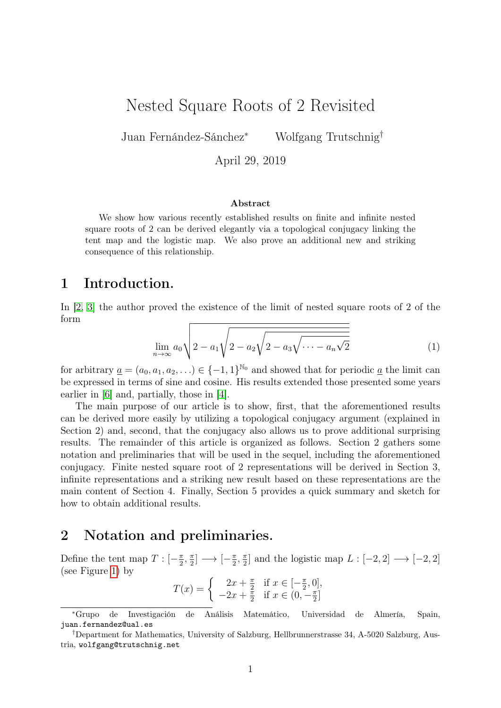# Nested Square Roots of 2 Revisited

Juan Fernández-Sánchez<sup>∗</sup> Wolfgang Trutschnig†

April 29, 2019

#### Abstract

We show how various recently established results on finite and infinite nested square roots of 2 can be derived elegantly via a topological conjugacy linking the tent map and the logistic map. We also prove an additional new and striking consequence of this relationship.

# 1 Introduction.

In [\[2,](#page-6-0) [3\]](#page-6-1) the author proved the existence of the limit of nested square roots of 2 of the form

$$
\lim_{n \to \infty} a_0 \sqrt{2 - a_1 \sqrt{2 - a_2 \sqrt{2 - a_3 \sqrt{\cdots - a_n \sqrt{2}}}}}
$$
(1)

for arbitrary  $\underline{a} = (a_0, a_1, a_2, \ldots) \in \{-1, 1\}^{\mathbb{N}_0}$  and showed that for periodic  $\underline{a}$  the limit can be expressed in terms of sine and cosine. His results extended those presented some years earlier in [\[6\]](#page-6-2) and, partially, those in [\[4\]](#page-6-3).

The main purpose of our article is to show, first, that the aforementioned results can be derived more easily by utilizing a topological conjugacy argument (explained in Section 2) and, second, that the conjugacy also allows us to prove additional surprising results. The remainder of this article is organized as follows. Section 2 gathers some notation and preliminaries that will be used in the sequel, including the aforementioned conjugacy. Finite nested square root of 2 representations will be derived in Section 3, infinite representations and a striking new result based on these representations are the main content of Section 4. Finally, Section 5 provides a quick summary and sketch for how to obtain additional results.

# 2 Notation and preliminaries.

Define the tent map  $T: [-\frac{\pi}{2}]$  $\frac{\pi}{2}$ ,  $\frac{\pi}{2}$  $\frac{\pi}{2}$   $\longrightarrow$   $\left[-\frac{\pi}{2}\right]$  $\frac{\pi}{2}$ ,  $\frac{\pi}{2}$  $\frac{\pi}{2}$  and the logistic map  $L : [-2, 2] \longrightarrow [-2, 2]$ (see Figure [1\)](#page-1-0) by

 $T(x) = \begin{cases} 2x + \frac{\pi}{2} \\ 2x + \frac{\pi}{2} \end{cases}$  $\frac{\pi}{2}$  if  $x \in \left[-\frac{\pi}{2}\right]$  $\frac{\pi}{2}$ , 0],  $-2x + \frac{1}{2}$  $\frac{\pi}{2}$  if  $x \in (0, -\frac{\pi}{2})$  $\frac{\pi}{2}$ ]

<sup>∗</sup>Grupo de Investigación de Análisis Matemático, Universidad de Almería, Spain, juan.fernandez@ual.es

<sup>†</sup>Department for Mathematics, University of Salzburg, Hellbrunnerstrasse 34, A-5020 Salzburg, Austria, wolfgang@trutschnig.net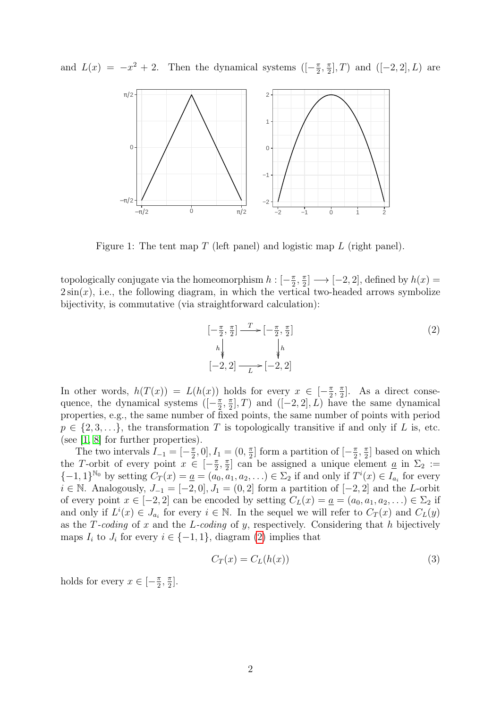and  $L(x) = -x^2 + 2$ . Then the dynamical systems  $\left(-\frac{\pi}{2}\right)$  $\frac{\pi}{2}, \frac{\pi}{2}$  $\frac{\pi}{2}$ , T) and  $([-2, 2], L)$  are



<span id="page-1-0"></span>Figure 1: The tent map T (left panel) and logistic map L (right panel).

topologically conjugate via the homeomorphism  $h: [-\frac{\pi}{2}]$  $\frac{\pi}{2}, \frac{\pi}{2}$  $\frac{\pi}{2}$ ]  $\longrightarrow$  [-2, 2], defined by  $h(x)$  =  $2\sin(x)$ , i.e., the following diagram, in which the vertical two-headed arrows symbolize bijectivity, is commutative (via straightforward calculation):

<span id="page-1-1"></span>
$$
\begin{array}{ccc}\n[-\frac{\pi}{2}, \frac{\pi}{2}] & \xrightarrow{T} & [-\frac{\pi}{2}, \frac{\pi}{2}] \\
h_{\psi} & & \downarrow h \\
[-2, 2] & \xrightarrow{L} & [-2, 2]\n\end{array}\n\tag{2}
$$

In other words,  $h(T(x)) = L(h(x))$  holds for every  $x \in \left[-\frac{\pi}{2}\right]$  $\frac{\pi}{2}, \frac{\pi}{2}$  $\frac{\pi}{2}$ . As a direct consequence, the dynamical systems ( $\left[-\frac{\pi}{2}\right]$  $\frac{\pi}{2}, \frac{\pi}{2}$  $\frac{\pi}{2}$ , T) and  $([-2, 2], L)$  have the same dynamical properties, e.g., the same number of fixed points, the same number of points with period  $p \in \{2, 3, \ldots\}$ , the transformation T is topologically transitive if and only if L is, etc. (see [\[1,](#page-6-4) [8\]](#page-7-0) for further properties).

The two intervals  $I_{-1} = \left[-\frac{\pi}{2}\right]$  $(\frac{\pi}{2}, 0], I_1 = (0, \frac{\pi}{2})$  $\frac{\pi}{2}$  form a partition of  $\left[-\frac{\pi}{2}\right]$  $\frac{\pi}{2}, \frac{\pi}{2}$  $\frac{\pi}{2}$  based on which the T-orbit of every point  $x \in \left[-\frac{\pi}{2}\right]$  $\frac{\pi}{2}, \frac{\pi}{2}$  $\frac{\pi}{2}$  can be assigned a unique element <u>a</u> in  $\Sigma_2$  :=  $\{-1,1\}^{\mathbb{N}_0}$  by setting  $C_T(x) = \underline{a} = (a_0, a_1, a_2, \ldots) \in \Sigma_2$  if and only if  $T^i(x) \in I_{a_i}$  for every  $i \in \mathbb{N}$ . Analogously,  $J_{-1} = [-2, 0], J_1 = (0, 2]$  form a partition of  $[-2, 2]$  and the L-orbit of every point  $x \in [-2, 2]$  can be encoded by setting  $C_L(x) = \underline{a} = (a_0, a_1, a_2, \ldots) \in \Sigma_2$  if and only if  $L^i(x) \in J_{a_i}$  for every  $i \in \mathbb{N}$ . In the sequel we will refer to  $C_T(x)$  and  $C_L(y)$ as the T-coding of x and the L-coding of y, respectively. Considering that h bijectively maps  $I_i$  to  $J_i$  for every  $i \in \{-1,1\}$ , diagram [\(2\)](#page-1-1) implies that

<span id="page-1-2"></span>
$$
C_T(x) = C_L(h(x))
$$
\n(3)

holds for every  $x \in \left[-\frac{\pi}{2}\right]$  $\frac{\pi}{2}, \frac{\pi}{2}$  $\frac{\pi}{2}$ .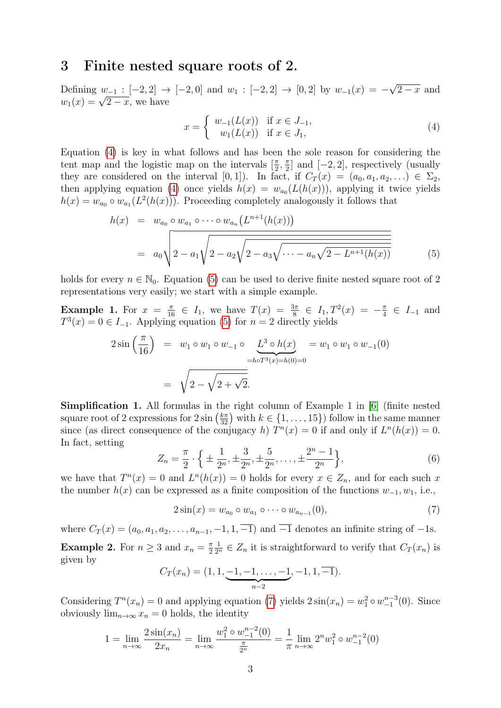#### 3 Finite nested square roots of 2.

Defining  $w_{-1} : [-2, 2] \rightarrow [-2, 0]$  and  $w_1 : [-2, 2] \rightarrow [0, 2]$  by  $w_{-1}(x) = -$ √  $2 - x$  and Defining  $w_{-1} : [-2, 2] \rightarrow$ <br> $w_1(x) = \sqrt{2 - x}$ , we have

<span id="page-2-0"></span>
$$
x = \begin{cases} w_{-1}(L(x)) & \text{if } x \in J_{-1}, \\ w_1(L(x)) & \text{if } x \in J_1, \end{cases}
$$
 (4)

Equation [\(4\)](#page-2-0) is key in what follows and has been the sole reason for considering the tent map and the logistic map on the intervals  $\left[\frac{\pi}{2}\right]$  $\frac{\pi}{2}$ ,  $\frac{\pi}{2}$  $\frac{\pi}{2}$  and  $[-2, 2]$ , respectively (usually they are considered on the interval [0, 1]). In fact, if  $C_T(x) = (a_0, a_1, a_2, \ldots) \in \Sigma_2$ , then applying equation [\(4\)](#page-2-0) once yields  $h(x) = w_{a_0}(L(h(x)))$ , applying it twice yields  $h(x) = w_{a_0} \circ w_{a_1}(L^2(h(x)))$ . Proceeding completely analogously it follows that

<span id="page-2-1"></span>
$$
h(x) = w_{a_0} \circ w_{a_1} \circ \cdots \circ w_{a_n} (L^{n+1}(h(x)))
$$
  
=  $a_0 \sqrt{2 - a_1 \sqrt{2 - a_2 \sqrt{2 - a_3 \sqrt{\cdots - a_n \sqrt{2 - L^{n+1}(h(x))}}}}}$  (5)

holds for every  $n \in \mathbb{N}_0$ . Equation [\(5\)](#page-2-1) can be used to derive finite nested square root of 2 representations very easily; we start with a simple example.

**Example 1.** For  $x = \frac{\pi}{16} \in I_1$ , we have  $T(x) = \frac{3\pi}{8} \in I_1$ ,  $T^2(x) = -\frac{\pi}{4}$  $\frac{\pi}{4} \in I_{-1}$  and  $T^3(x) = 0 \in I_{-1}$ . Applying equation [\(5\)](#page-2-1) for  $n = 2$  directly yields

$$
2\sin\left(\frac{\pi}{16}\right) = w_1 \circ w_1 \circ w_{-1} \circ \underbrace{L^3 \circ h(x)}_{=h \circ T^3(x) = h(0) = 0} = w_1 \circ w_1 \circ w_{-1}(0)
$$

$$
= \sqrt{2 - \sqrt{2 + \sqrt{2}}}.
$$

Simplification 1. All formulas in the right column of Example 1 in [\[6\]](#page-6-2) (finite nested square root of 2 expressions for  $2 \sin\left(\frac{k\pi}{32}\right)$  with  $k \in \{1, \ldots, 15\}$  follow in the same manner since (as direct consequence of the conjugacy h)  $T^n(x) = 0$  if and only if  $L^n(h(x)) = 0$ . In fact, setting

$$
Z_n = \frac{\pi}{2} \cdot \left\{ \pm \frac{1}{2^n}, \pm \frac{3}{2^n}, \pm \frac{5}{2^n}, \dots, \pm \frac{2^n - 1}{2^n} \right\},\tag{6}
$$

we have that  $T^n(x) = 0$  and  $L^n(h(x)) = 0$  holds for every  $x \in Z_n$ , and for each such x the number  $h(x)$  can be expressed as a finite composition of the functions  $w_{-1}, w_1$ , i.e.,

<span id="page-2-2"></span>
$$
2\sin(x) = w_{a_0} \circ w_{a_1} \circ \cdots \circ w_{a_{n-1}}(0),\tag{7}
$$

where  $C_T(x) = (a_0, a_1, a_2, \ldots, a_{n-1}, -1, 1, -1)$  and  $\overline{-1}$  denotes an infinite string of  $-1$ s. **Example 2.** For  $n \geq 3$  and  $x_n = \frac{\pi}{2}$ 2  $\frac{1}{2^n} \in Z_n$  it is straightforward to verify that  $C_T(x_n)$  is given by

$$
C_T(x_n) = (1, 1, \underbrace{-1, -1, \dots, -1}_{n-2}, -1, 1, \overline{-1}).
$$

Considering  $T^n(x_n) = 0$  and applying equation [\(7\)](#page-2-2) yields  $2\sin(x_n) = w_1^2 \circ w_1^{n-3}(0)$ . Since obviously  $\lim_{n\to\infty} x_n = 0$  holds, the identity

$$
1 = \lim_{n \to \infty} \frac{2\sin(x_n)}{2x_n} = \lim_{n \to \infty} \frac{w_1^2 \circ w_{-1}^{n-2}(0)}{\frac{\pi}{2^n}} = \frac{1}{\pi} \lim_{n \to \infty} 2^n w_1^2 \circ w_{-1}^{n-2}(0)
$$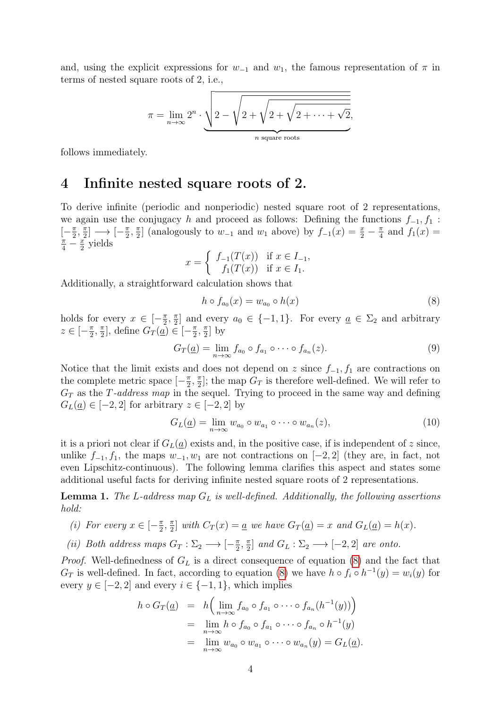and, using the explicit expressions for  $w_{-1}$  and  $w_1$ , the famous representation of  $\pi$  in terms of nested square roots of 2, i.e.,

$$
\pi = \lim_{n \to \infty} 2^n \cdot \underbrace{\sqrt{2 - \sqrt{2 + \sqrt{2 + \sqrt{2 + \dots + \sqrt{2}}}}}}_{n \text{ square roots}},
$$

follows immediately.

# 4 Infinite nested square roots of 2.

To derive infinite (periodic and nonperiodic) nested square root of 2 representations, we again use the conjugacy h and proceed as follows: Defining the functions  $f_{-1}, f_1$ :  $\left[-\frac{\pi}{2}\right]$  $\frac{\pi}{2}, \frac{\pi}{2}$  $\frac{\pi}{2}$   $\longrightarrow$   $\left[-\frac{\pi}{2}\right]$  $\frac{\pi}{2}, \frac{\pi}{2}$  $\frac{\pi}{2}$ ] (analogously to  $w_{-1}$  and  $w_1$  above) by  $f_{-1}(x) = \frac{x}{2} - \frac{\pi}{4}$  $\frac{\pi}{4}$  and  $f_1(x) =$  $\frac{\pi}{4} - \frac{x}{2}$  $\frac{x}{2}$  yields

$$
x = \begin{cases} f_{-1}(T(x)) & \text{if } x \in I_{-1}, \\ f_1(T(x)) & \text{if } x \in I_1. \end{cases}
$$

Additionally, a straightforward calculation shows that

<span id="page-3-0"></span>
$$
h \circ f_{a_0}(x) = w_{a_0} \circ h(x) \tag{8}
$$

holds for every  $x \in \left[-\frac{\pi}{2}\right]$  $\frac{\pi}{2}, \frac{\pi}{2}$  $\frac{\pi}{2}$  and every  $a_0 \in \{-1, 1\}$ . For every  $\underline{a} \in \Sigma_2$  and arbitrary  $z \in \left[-\frac{\pi}{2}\right]$  $\frac{\pi}{2}$ ,  $\frac{\pi}{2}$  $\frac{\pi}{2}$ , define  $G_T(\underline{\bar{a}}) \in \left[-\frac{\pi}{2}\right]$  $\frac{\pi}{2}, \frac{\pi}{2}$  $\frac{\pi}{2}$  by

$$
G_T(\underline{a}) = \lim_{n \to \infty} f_{a_0} \circ f_{a_1} \circ \cdots \circ f_{a_n}(z). \tag{9}
$$

Notice that the limit exists and does not depend on z since  $f_{-1}, f_1$  are contractions on the complete metric space  $\left[-\frac{\pi}{2}\right]$  $\frac{\pi}{2}, \frac{\pi}{2}$  $\frac{\pi}{2}$ ; the map  $G_T$  is therefore well-defined. We will refer to  $G_T$  as the T-address map in the sequel. Trying to proceed in the same way and defining  $G_L(\underline{a}) \in [-2,2]$  for arbitrary  $z \in [-2,2]$  by

$$
G_L(\underline{a}) = \lim_{n \to \infty} w_{a_0} \circ w_{a_1} \circ \cdots \circ w_{a_n}(z), \tag{10}
$$

it is a priori not clear if  $G_L(\underline{a})$  exists and, in the positive case, if is independent of z since, unlike  $f_{-1}, f_1$ , the maps  $w_{-1}, w_1$  are not contractions on  $[-2, 2]$  (they are, in fact, not even Lipschitz-continuous). The following lemma clarifies this aspect and states some additional useful facts for deriving infinite nested square roots of 2 representations.

<span id="page-3-1"></span>**Lemma 1.** The L-address map  $G_L$  is well-defined. Additionally, the following assertions hold:

- (i) For every  $x \in \left[-\frac{\pi}{2}\right]$  $\frac{\pi}{2}, \frac{\pi}{2}$  $\frac{\pi}{2}$  with  $C_T(x) = \underline{a}$  we have  $G_T(\underline{a}) = x$  and  $G_L(\underline{a}) = h(x)$ .
- (ii) Both address maps  $G_T : \Sigma_2 \longrightarrow [-\frac{\pi}{2}]$  $\frac{\pi}{2}, \frac{\pi}{2}$  $\frac{\pi}{2}$  and  $G_L : \Sigma_2 \longrightarrow [-2, 2]$  are onto.

*Proof.* Well-definedness of  $G_L$  is a direct consequence of equation [\(8\)](#page-3-0) and the fact that  $G_T$  is well-defined. In fact, according to equation [\(8\)](#page-3-0) we have  $h \circ f_i \circ h^{-1}(y) = w_i(y)$  for every  $y \in [-2, 2]$  and every  $i \in \{-1, 1\}$ , which implies

$$
h \circ G_T(\underline{a}) = h\Big(\lim_{n \to \infty} f_{a_0} \circ f_{a_1} \circ \cdots \circ f_{a_n}(h^{-1}(y))\Big)
$$
  
= 
$$
\lim_{n \to \infty} h \circ f_{a_0} \circ f_{a_1} \circ \cdots \circ f_{a_n} \circ h^{-1}(y)
$$
  
= 
$$
\lim_{n \to \infty} w_{a_0} \circ w_{a_1} \circ \cdots \circ w_{a_n}(y) = G_L(\underline{a}).
$$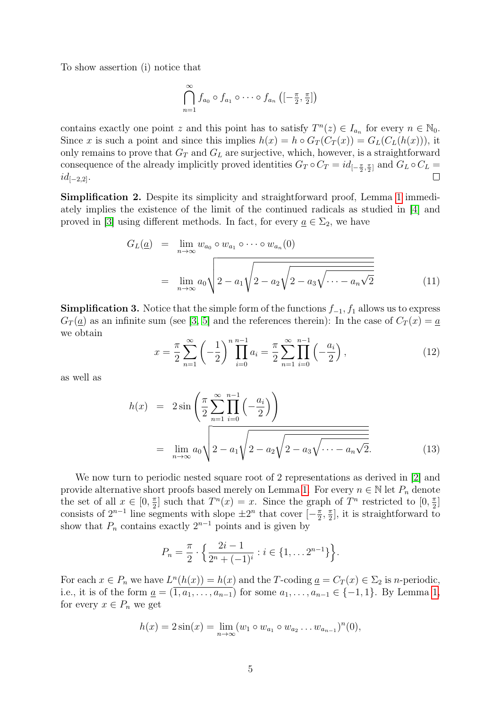To show assertion (i) notice that

$$
\bigcap_{n=1}^{\infty} f_{a_0} \circ f_{a_1} \circ \cdots \circ f_{a_n} \left( \left[ -\frac{\pi}{2}, \frac{\pi}{2} \right] \right)
$$

contains exactly one point z and this point has to satisfy  $T^n(z) \in I_{a_n}$  for every  $n \in \mathbb{N}_0$ . Since x is such a point and since this implies  $h(x) = h \circ G_T(C_T(x)) = G_L(C_L(h(x)))$ , it only remains to prove that  $G_T$  and  $G_L$  are surjective, which, however, is a straightforward consequence of the already implicitly proved identities  $G_T \circ C_T = id_{[-\frac{\pi}{2}, \frac{\pi}{2}]}$  and  $G_L \circ C_L =$  $id_{[-2,2]}$ .

Simplification 2. Despite its simplicity and straightforward proof, Lemma [1](#page-3-1) immediately implies the existence of the limit of the continued radicals as studied in [\[4\]](#page-6-3) and proved in [\[3\]](#page-6-1) using different methods. In fact, for every  $\underline{a} \in \Sigma_2$ , we have

$$
G_L(\underline{a}) = \lim_{n \to \infty} w_{a_0} \circ w_{a_1} \circ \cdots \circ w_{a_n}(0)
$$
  
= 
$$
\lim_{n \to \infty} a_0 \sqrt{2 - a_1 \sqrt{2 - a_2 \sqrt{2 - a_3 \sqrt{\cdots - a_n \sqrt{2}}}}}
$$
(11)

**Simplification 3.** Notice that the simple form of the functions  $f_{-1}$ ,  $f_1$  allows us to express  $G_T(\underline{a})$  as an infinite sum (see [\[3,](#page-6-1) [5\]](#page-6-5) and the references therein): In the case of  $C_T(x) = \underline{a}$ we obtain

$$
x = \frac{\pi}{2} \sum_{n=1}^{\infty} \left( -\frac{1}{2} \right)^n \prod_{i=0}^{n-1} a_i = \frac{\pi}{2} \sum_{n=1}^{\infty} \prod_{i=0}^{n-1} \left( -\frac{a_i}{2} \right),\tag{12}
$$

as well as

$$
h(x) = 2\sin\left(\frac{\pi}{2}\sum_{n=1}^{\infty}\prod_{i=0}^{n-1}\left(-\frac{a_i}{2}\right)\right)
$$
  
= 
$$
\lim_{n \to \infty} a_0 \sqrt{2 - a_1 \sqrt{2 - a_2 \sqrt{2 - a_3 \sqrt{\cdots - a_n \sqrt{2}}}}.
$$
 (13)

We now turn to periodic nested square root of 2 representations as derived in [\[2\]](#page-6-0) and provide alternative short proofs based merely on Lemma [1.](#page-3-1) For every  $n \in \mathbb{N}$  let  $P_n$  denote the set of all  $x \in [0, \frac{\pi}{2}]$  $\frac{\pi}{2}$  such that  $T^n(x) = x$ . Since the graph of  $T^n$  restricted to  $[0, \frac{\pi}{2}]$  $\frac{\pi}{2}$ ] consists of  $2^{n-1}$  line segments with slope  $\pm 2^n$  that cover  $\left[-\frac{\pi}{2}\right]$  $\frac{\pi}{2}, \frac{\pi}{2}$  $\frac{\pi}{2}$ , it is straightforward to show that  $P_n$  contains exactly  $2^{n-1}$  points and is given by

$$
P_n = \frac{\pi}{2} \cdot \left\{ \frac{2i-1}{2^n + (-1)^i} : i \in \{1, \dots 2^{n-1}\} \right\}.
$$

For each  $x \in P_n$  we have  $L^n(h(x)) = h(x)$  and the T-coding  $\underline{a} = C_T(x) \in \Sigma_2$  is n-periodic, i.e., it is of the form  $\underline{a} = (\overline{1, a_1, \ldots, a_{n-1}})$  for some  $a_1, \ldots, a_{n-1} \in \{-1, 1\}$ . By Lemma [1,](#page-3-1) for every  $x \in P_n$  we get

$$
h(x) = 2\sin(x) = \lim_{n \to \infty} (w_1 \circ w_{a_1} \circ w_{a_2} \dots w_{a_{n-1}})^n(0),
$$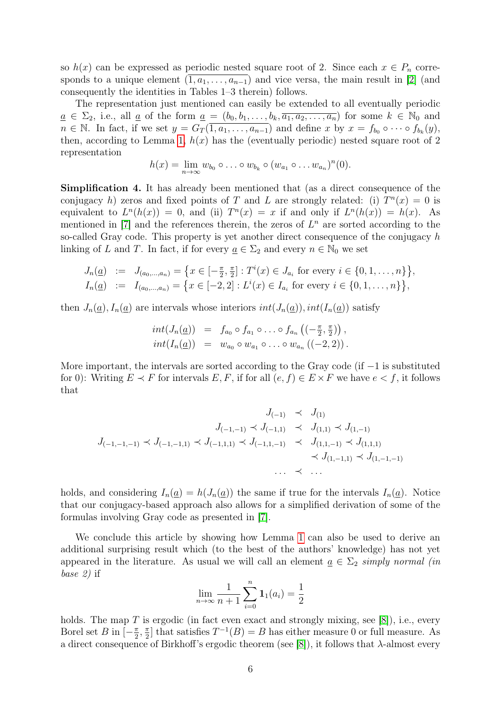so  $h(x)$  can be expressed as periodic nested square root of 2. Since each  $x \in P_n$  corresponds to a unique element  $(\overline{1, a_1, \ldots, a_{n-1}})$  and vice versa, the main result in [\[2\]](#page-6-0) (and consequently the identities in Tables 1–3 therein) follows.

The representation just mentioned can easily be extended to all eventually periodic  $\underline{a} \in \Sigma_2$ , i.e., all <u>a</u> of the form <u>a</u> =  $(b_0, b_1, \ldots, b_k, \overline{a_1, a_2, \ldots, a_n})$  for some  $k \in \mathbb{N}_0$  and  $n \in \mathbb{N}$ . In fact, if we set  $y = G_T(\overline{1, a_1, \ldots, a_{n-1}})$  and define x by  $x = f_{b_0} \circ \cdots \circ f_{b_k}(y)$ , then, according to Lemma [1,](#page-3-1)  $h(x)$  has the (eventually periodic) nested square root of 2 representation

$$
h(x)=\lim_{n\to\infty}w_{b_0}\circ\ldots\circ w_{b_k}\circ(w_{a_1}\circ\ldots w_{a_n})^n(0).
$$

Simplification 4. It has already been mentioned that (as a direct consequence of the conjugacy h) zeros and fixed points of T and L are strongly related: (i)  $T^n(x) = 0$  is equivalent to  $L^n(h(x)) = 0$ , and (ii)  $T^n(x) = x$  if and only if  $L^n(h(x)) = h(x)$ . As mentioned in [\[7\]](#page-7-1) and the references therein, the zeros of  $L<sup>n</sup>$  are sorted according to the so-called Gray code. This property is yet another direct consequence of the conjugacy  $h$ linking of L and T. In fact, if for every  $\underline{a} \in \Sigma_2$  and every  $n \in \mathbb{N}_0$  we set

$$
J_n(\underline{a}) := J_{(a_0,\dots,a_n)} = \left\{ x \in [-\frac{\pi}{2},\frac{\pi}{2}] : T^i(x) \in J_{a_i} \text{ for every } i \in \{0,1,\dots,n\} \right\},
$$
  

$$
I_n(\underline{a}) := I_{(a_0,\dots,a_n)} = \left\{ x \in [-2,2] : L^i(x) \in I_{a_i} \text{ for every } i \in \{0,1,\dots,n\} \right\},
$$

then  $J_n(\underline{a})$ ,  $I_n(\underline{a})$  are intervals whose interiors  $int(J_n(\underline{a}))$ ,  $int(I_n(\underline{a}))$  satisfy

$$
int(J_n(\underline{a})) = f_{a_0} \circ f_{a_1} \circ \dots \circ f_{a_n} ((-\frac{\pi}{2}, \frac{\pi}{2})),int(I_n(\underline{a})) = w_{a_0} \circ w_{a_1} \circ \dots \circ w_{a_n} ((-2, 2)).
$$

More important, the intervals are sorted according to the Gray code (if  $-1$  is substituted for 0): Writing  $E \prec F$  for intervals  $E, F$ , if for all  $(e, f) \in E \times F$  we have  $e \prec f$ , it follows that

$$
J_{(-1)} \prec J_{(1)} J_{(-1,-1,-1)} J_{(-1,-1,1)} J_{(-1,1,1)} J_{(-1,1,-1)} J_{(-1,1,-1)} J_{(-1,1,-1)} J_{(1,1,-1)} J_{(1,1,1)} J_{(1,1,1)} J_{(1,-1,-1)} J_{(1,-1,-1)}
$$

holds, and considering  $I_n(\underline{a}) = h(J_n(\underline{a}))$  the same if true for the intervals  $I_n(\underline{a})$ . Notice that our conjugacy-based approach also allows for a simplified derivation of some of the formulas involving Gray code as presented in [\[7\]](#page-7-1).

We conclude this article by showing how Lemma [1](#page-3-1) can also be used to derive an additional surprising result which (to the best of the authors' knowledge) has not yet appeared in the literature. As usual we will call an element  $\underline{a} \in \Sigma_2$  simply normal (in base 2) if

$$
\lim_{n \to \infty} \frac{1}{n+1} \sum_{i=0}^{n} \mathbf{1}_1(a_i) = \frac{1}{2}
$$

holds. The map  $T$  is ergodic (in fact even exact and strongly mixing, see [\[8\]](#page-7-0)), i.e., every Borel set B in  $\left[-\frac{\pi}{2}\right]$  $\frac{\pi}{2}, \frac{\pi}{2}$  $\frac{\pi}{2}$  that satisfies  $T^{-1}(B) = B$  has either measure 0 or full measure. As a direct consequence of Birkhoff's ergodic theorem (see [\[8\]](#page-7-0)), it follows that  $\lambda$ -almost every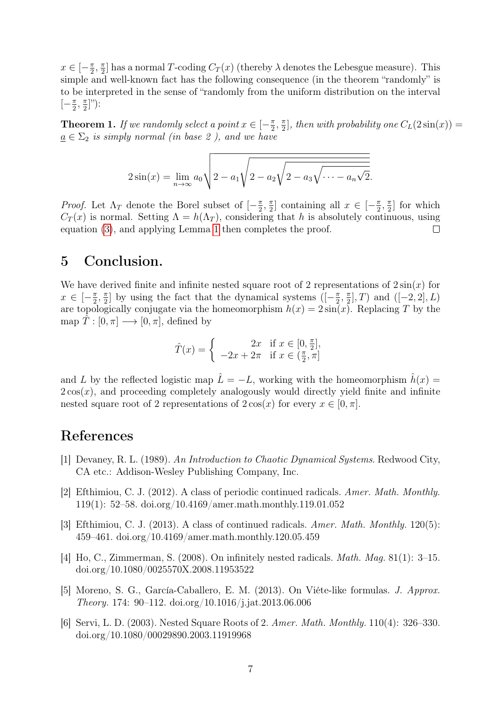$x \in \left[-\frac{\pi}{2}\right]$  $\frac{\pi}{2}$ ,  $\frac{\pi}{2}$  $\frac{\pi}{2}$  has a normal T-coding  $C_T(x)$  (thereby  $\lambda$  denotes the Lebesgue measure). This simple and well-known fact has the following consequence (in the theorem "randomly" is to be interpreted in the sense of "randomly from the uniform distribution on the interval  $\left[-\frac{\pi}{2}\right]$  $\frac{\pi}{2}$ ,  $\frac{\pi}{2}$  $\frac{\pi}{2}]$ "):

**Theorem 1.** If we randomly select a point  $x \in [-\frac{\pi}{2}]$  $\frac{\pi}{2}, \frac{\pi}{2}$  $\frac{\pi}{2}$ , then with probability one  $C_L(2\sin(x)) =$  $a \in \Sigma_2$  is simply normal (in base 2), and we have

$$
2\sin(x) = \lim_{n \to \infty} a_0 \sqrt{2 - a_1 \sqrt{2 - a_2 \sqrt{2 - a_3 \sqrt{\cdots - a_n \sqrt{2}}}}}.
$$

*Proof.* Let  $\Lambda_T$  denote the Borel subset of  $\left[-\frac{\pi}{2}\right]$  $\frac{\pi}{2}, \frac{\pi}{2}$  $\frac{\pi}{2}$  containing all  $x \in \left[-\frac{\pi}{2}\right]$  $\frac{\pi}{2}, \frac{\pi}{2}$  $\frac{\pi}{2}$  for which  $C_T(x)$  is normal. Setting  $\Lambda = h(\Lambda_T)$ , considering that h is absolutely continuous, using equation [\(3\)](#page-1-2), and applying Lemma [1](#page-3-1) then completes the proof.  $\Box$ 

### 5 Conclusion.

We have derived finite and infinite nested square root of 2 representations of  $2\sin(x)$  for  $x \in \left[-\frac{\pi}{2}\right]$  $\frac{\pi}{2}, \frac{\pi}{2}$  $\frac{\pi}{2}$ ] by using the fact that the dynamical systems  $([-\frac{\pi}{2}]$  $\frac{\pi}{2}, \frac{\pi}{2}$  $\frac{\pi}{2}$ , T) and  $([-2, 2], L)$ are topologically conjugate via the homeomorphism  $h(x) = 2\sin(x)$ . Replacing T by the map  $T : [0, \pi] \longrightarrow [0, \pi]$ , defined by

$$
\hat{T}(x) = \begin{cases}\n2x & \text{if } x \in [0, \frac{\pi}{2}], \\
-2x + 2\pi & \text{if } x \in (\frac{\pi}{2}, \pi]\n\end{cases}
$$

and L by the reflected logistic map  $\hat{L} = -L$ , working with the homeomorphism  $\hat{h}(x) =$  $2\cos(x)$ , and proceeding completely analogously would directly yield finite and infinite nested square root of 2 representations of  $2 \cos(x)$  for every  $x \in [0, \pi]$ .

## References

- <span id="page-6-4"></span>[1] Devaney, R. L. (1989). An Introduction to Chaotic Dynamical Systems. Redwood City, CA etc.: Addison-Wesley Publishing Company, Inc.
- <span id="page-6-0"></span>[2] Efthimiou, C. J. (2012). A class of periodic continued radicals. Amer. Math. Monthly. 119(1): 52–58. doi.org/10.4169/amer.math.monthly.119.01.052
- <span id="page-6-1"></span>[3] Efthimiou, C. J. (2013). A class of continued radicals. Amer. Math. Monthly. 120(5): 459–461. doi.org/10.4169/amer.math.monthly.120.05.459
- <span id="page-6-3"></span>[4] Ho, C., Zimmerman, S. (2008). On infinitely nested radicals. Math. Mag. 81(1): 3–15. doi.org/10.1080/0025570X.2008.11953522
- <span id="page-6-5"></span>[5] Moreno, S. G., García-Caballero, E. M. (2013). On Viéte-like formulas. J. Approx. Theory. 174: 90–112. doi.org/10.1016/j.jat.2013.06.006
- <span id="page-6-2"></span>[6] Servi, L. D. (2003). Nested Square Roots of 2. Amer. Math. Monthly. 110(4): 326–330. doi.org/10.1080/00029890.2003.11919968